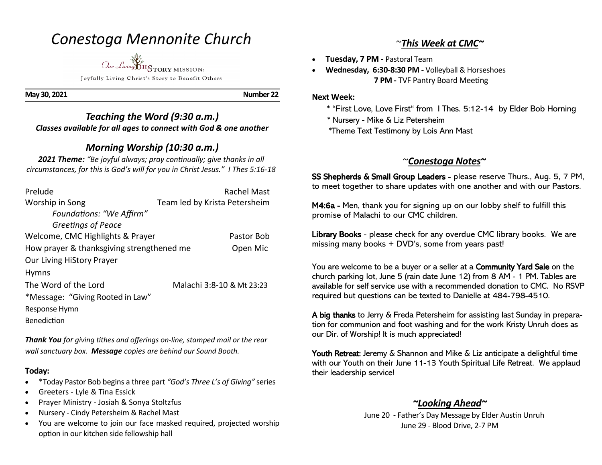# *Conestoga Mennonite Church*

*Our Living* HISTORY MISSION: Joyfully Living Christ's Story to Benefit Others

**May 30, 2021 Number 22** 

*Teaching the Word (9:30 a.m.) Classes available for all ages to connect with God & one another* 

## *Morning Worship (10:30 a.m.)*

*2021 Theme: "Be joyful always; pray continually; give thanks in all circumstances, for this is God's will for you in Christ Jesus." I Thes 5:16-18*

| Prelude                                   | Rachel Mast                   |  |
|-------------------------------------------|-------------------------------|--|
| Worship in Song                           | Team led by Krista Petersheim |  |
| Foundations: "We Affirm"                  |                               |  |
| Greetings of Peace                        |                               |  |
| Welcome, CMC Highlights & Prayer          | Pastor Bob                    |  |
| How prayer & thanksgiving strengthened me | Open Mic                      |  |
| Our Living HiStory Prayer                 |                               |  |
| <b>Hymns</b>                              |                               |  |
| The Word of the Lord                      | Malachi 3:8-10 & Mt 23:23     |  |
| *Message: "Giving Rooted in Law"          |                               |  |
| Response Hymn                             |                               |  |
| Benediction                               |                               |  |

*Thank You for giving tithes and offerings on-line, stamped mail or the rear wall sanctuary box. Message copies are behind our Sound Booth.*

### **Today:**

- \*Today Pastor Bob begins a three part *"God's Three L's of Giving"* series
- Greeters Lyle & Tina Essick
- Prayer Ministry Josiah & Sonya Stoltzfus
- Nursery Cindy Petersheim & Rachel Mast
- You are welcome to join our face masked required, projected worship option in our kitchen side fellowship hall

### ~*This Week at CMC~*

- **Tuesday, 7 PM -** Pastoral Team
- **Wednesday, 6:30-8:30 PM -** Volleyball & Horseshoes **7 PM -** TVF Pantry Board Meeting

### **Next Week:**

- \* "First Love, Love First" from I Thes. 5:12-14 by Elder Bob Horning
- \* Nursery Mike & Liz Petersheim
- \*Theme Text Testimony by Lois Ann Mast

## ~*Conestoga Notes~*

SS Shepherds & Small Group Leaders - please reserve Thurs., Aug. 5, 7 PM, to meet together to share updates with one another and with our Pastors.

M4:6a - Men, thank you for signing up on our lobby shelf to fulfill this promise of Malachi to our CMC children.

Library Books - please check for any overdue CMC library books. We are missing many books + DVD's, some from years past!

You are welcome to be a buyer or a seller at a Community Yard Sale on the church parking lot, June 5 (rain date June 12) from 8 AM - 1 PM. Tables are available for self service use with a recommended donation to CMC. No RSVP required but questions can be texted to Danielle at 484-798-4510.

A big thanks to Jerry & Freda Petersheim for assisting last Sunday in preparation for communion and foot washing and for the work Kristy Unruh does as our Dir. of Worship! It is much appreciated!

Youth Retreat: Jeremy & Shannon and Mike & Liz anticipate a delightful time with our Youth on their June 11-13 Youth Spiritual Life Retreat. We applaud their leadership service!

## *~Looking Ahead~*

 June 20 - Father's Day Message by Elder Austin Unruh June 29 - Blood Drive, 2-7 PM